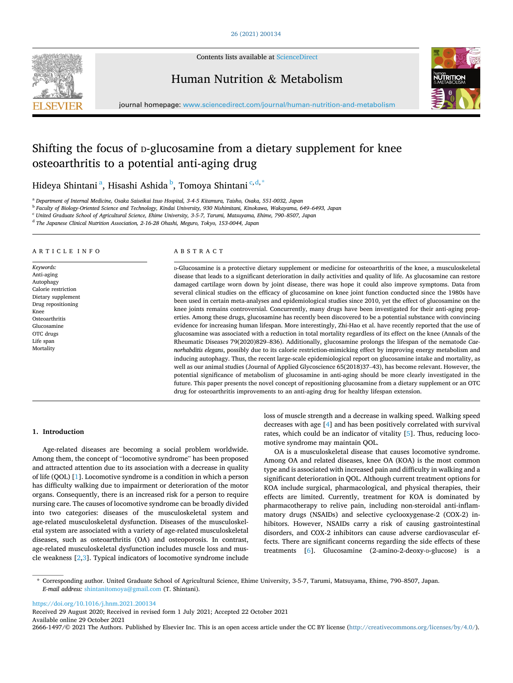

Contents lists available at [ScienceDirect](www.sciencedirect.com/science/journal/26661497)

Human Nutrition & Metabolism



journal homepage: [www.sciencedirect.com/journal/human-nutrition-and-metabolism](https://www.sciencedirect.com/journal/human-nutrition-and-metabolism)

# Shifting the focus of *D*-glucosamine from a dietary supplement for knee osteoarthritis to a potential anti-aging drug

Hideya Shintani<sup>a</sup>, Hisashi Ashida <sup>b</sup>, Tomoya Shintani<sup>c,d,\*</sup>

<sup>a</sup> *Department of Internal Medicine, Osaka Saiseikai Izuo Hospital, 3-4-5 Kitamura, Taisho, Osaka, 551-0032, Japan* 

<sup>b</sup> *Faculty of Biology-Oriented Science and Technology, Kindai University, 930 Nishimitani, Kinokawa, Wakayama, 649*–*6493, Japan* 

<sup>c</sup> *United Graduate School of Agricultural Science, Ehime University, 3-5-7, Tarumi, Matsuyama, Ehime, 790*–*8507, Japan* 

<sup>d</sup> *The Japanese Clinical Nutrition Association, 2-16-28 Ohashi, Meguro, Tokyo, 153-0044, Japan* 

## ARTICLE INFO

*Keywords:*  Anti-aging Autophagy Calorie restriction Dietary supplement Drug repositioning Knee **Osteoarthritis** Glucosamine OTC drugs Life span Mortality

#### ABSTRACT

D-Glucosamine is a protective dietary supplement or medicine for osteoarthritis of the knee, a musculoskeletal disease that leads to a significant deterioration in daily activities and quality of life. As glucosamine can restore damaged cartilage worn down by joint disease, there was hope it could also improve symptoms. Data from several clinical studies on the efficacy of glucosamine on knee joint function conducted since the 1980s have been used in certain meta-analyses and epidemiological studies since 2010, yet the effect of glucosamine on the knee joints remains controversial. Concurrently, many drugs have been investigated for their anti-aging properties. Among these drugs, glucosamine has recently been discovered to be a potential substance with convincing evidence for increasing human lifespan. More interestingly, Zhi-Hao et al. have recently reported that the use of glucosamine was associated with a reduction in total mortality regardless of its effect on the knee (Annals of the Rheumatic Diseases 79(2020)829–836). Additionally, glucosamine prolongs the lifespan of the nematode *Caenorhabditis elegans*, possibly due to its calorie restriction-mimicking effect by improving energy metabolism and inducing autophagy. Thus, the recent large-scale epidemiological report on glucosamine intake and mortality, as well as our animal studies (Journal of Applied Glycoscience 65(2018)37–43), has become relevant. However, the potential significance of metabolism of glucosamine in anti-aging should be more clearly investigated in the future. This paper presents the novel concept of repositioning glucosamine from a dietary supplement or an OTC drug for osteoarthritis improvements to an anti-aging drug for healthy lifespan extension.

#### **1. Introduction**

Age-related diseases are becoming a social problem worldwide. Among them, the concept of "locomotive syndrome" has been proposed and attracted attention due to its association with a decrease in quality of life (QOL) [[1](#page-2-0)]. Locomotive syndrome is a condition in which a person has difficulty walking due to impairment or deterioration of the motor organs. Consequently, there is an increased risk for a person to require nursing care. The causes of locomotive syndrome can be broadly divided into two categories: diseases of the musculoskeletal system and age-related musculoskeletal dysfunction. Diseases of the musculoskeletal system are associated with a variety of age-related musculoskeletal diseases, such as osteoarthritis (OA) and osteoporosis. In contrast, age-related musculoskeletal dysfunction includes muscle loss and muscle weakness [\[2,3](#page-2-0)]. Typical indicators of locomotive syndrome include

loss of muscle strength and a decrease in walking speed. Walking speed decreases with age [\[4\]](#page-2-0) and has been positively correlated with survival rates, which could be an indicator of vitality [\[5\]](#page-2-0). Thus, reducing locomotive syndrome may maintain QOL.

OA is a musculoskeletal disease that causes locomotive syndrome. Among OA and related diseases, knee OA (KOA) is the most common type and is associated with increased pain and difficulty in walking and a significant deterioration in QOL. Although current treatment options for KOA include surgical, pharmacological, and physical therapies, their effects are limited. Currently, treatment for KOA is dominated by pharmacotherapy to relive pain, including non-steroidal anti-inflammatory drugs (NSAIDs) and selective cyclooxygenase-2 (COX-2) inhibitors. However, NSAIDs carry a risk of causing gastrointestinal disorders, and COX-2 inhibitors can cause adverse cardiovascular effects. There are significant concerns regarding the side effects of these treatments [\[6\]](#page-2-0). Glucosamine (2-amino-2-deoxy-D-glucose) is a

\* Corresponding author. United Graduate School of Agricultural Science, Ehime University, 3-5-7, Tarumi, Matsuyama, Ehime, 790–8507, Japan. *E-mail address:* [shintanitomoya@gmail.com](mailto:shintanitomoya@gmail.com) (T. Shintani).

<https://doi.org/10.1016/j.hnm.2021.200134>

Available online 29 October 2021 2666-1497/© 2021 The Authors. Published by Elsevier Inc. This is an open access article under the CC BY license(<http://creativecommons.org/licenses/by/4.0/>). Received 29 August 2020; Received in revised form 1 July 2021; Accepted 22 October 2021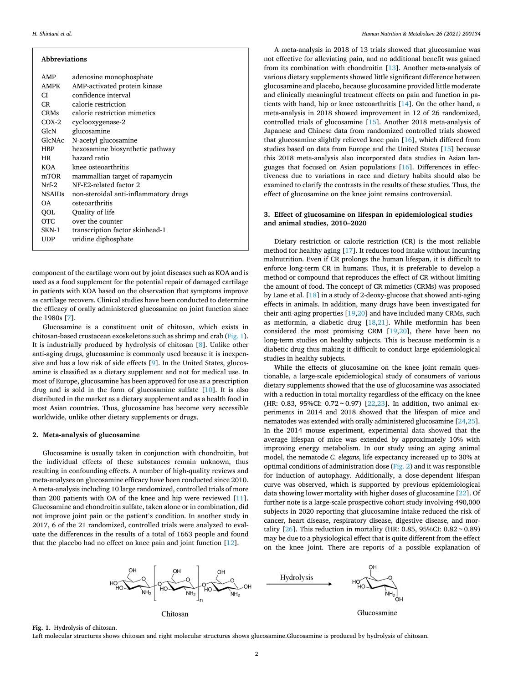| <b>Abbreviations</b> |                                       |  |
|----------------------|---------------------------------------|--|
| AMP                  | adenosine monophosphate               |  |
| AMPK                 | AMP-activated protein kinase          |  |
| CI.                  | confidence interval                   |  |
| CR —                 | calorie restriction                   |  |
| <b>CRMs</b>          | calorie restriction mimetics          |  |
| $COX-2$              | cyclooxygenase-2                      |  |
| GlcN                 | glucosamine                           |  |
| GlcNAc               | N-acetyl glucosamine                  |  |
| HBP                  | hexosamine biosynthetic pathway       |  |
| <b>HR</b>            | hazard ratio                          |  |
| KOA                  | knee osteoarthritis                   |  |
| mTOR                 | mammallian target of rapamycin        |  |
| Nrf-2                | NF-E2-related factor 2                |  |
| <b>NSAIDs</b>        | non-steroidal anti-inflammatory drugs |  |
| ΩA.                  | osteoarthritis                        |  |
| OOL                  | Quality of life                       |  |
| OTC.                 | over the counter                      |  |
| SKN-1                | transcription factor skinhead-1       |  |
| UDP                  | uridine diphosphate                   |  |
|                      |                                       |  |

component of the cartilage worn out by joint diseases such as KOA and is used as a food supplement for the potential repair of damaged cartilage in patients with KOA based on the observation that symptoms improve as cartilage recovers. Clinical studies have been conducted to determine the efficacy of orally administered glucosamine on joint function since the 1980s [\[7\]](#page-2-0).

Glucosamine is a constituent unit of chitosan, which exists in chitosan-based crustacean exoskeletons such as shrimp and crab (Fig. 1). It is industrially produced by hydrolysis of chitosan [[8](#page-2-0)]. Unlike other anti-aging drugs, glucosamine is commonly used because it is inexpensive and has a low risk of side effects [[9\]](#page-2-0). In the United States, glucosamine is classified as a dietary supplement and not for medical use. In most of Europe, glucosamine has been approved for use as a prescription drug and is sold in the form of glucosamine sulfate [[10\]](#page-2-0). It is also distributed in the market as a dietary supplement and as a health food in most Asian countries. Thus, glucosamine has become very accessible worldwide, unlike other dietary supplements or drugs.

## **2. Meta-analysis of glucosamine**

Glucosamine is usually taken in conjunction with chondroitin, but the individual effects of these substances remain unknown, thus resulting in confounding effects. A number of high-quality reviews and meta-analyses on glucosamine efficacy have been conducted since 2010. A meta-analysis including 10 large randomized, controlled trials of more than 200 patients with OA of the knee and hip were reviewed [\[11](#page-2-0)]. Glucosamine and chondroitin sulfate, taken alone or in combination, did not improve joint pain or the patient's condition. In another study in 2017, 6 of the 21 randomized, controlled trials were analyzed to evaluate the differences in the results of a total of 1663 people and found that the placebo had no effect on knee pain and joint function [\[12](#page-3-0)].

A meta-analysis in 2018 of 13 trials showed that glucosamine was not effective for alleviating pain, and no additional benefit was gained from its combination with chondroitin [[13\]](#page-3-0). Another meta-analysis of various dietary supplements showed little significant difference between glucosamine and placebo, because glucosamine provided little moderate and clinically meaningful treatment effects on pain and function in patients with hand, hip or knee osteoarthritis [[14\]](#page-3-0). On the other hand, a meta-analysis in 2018 showed improvement in 12 of 26 randomized, controlled trials of glucosamine [\[15](#page-3-0)]. Another 2018 meta-analysis of Japanese and Chinese data from randomized controlled trials showed that glucosamine slightly relieved knee pain [[16\]](#page-3-0), which differed from studies based on data from Europe and the United States [\[15\]](#page-3-0) because this 2018 meta-analysis also incorporated data studies in Asian languages that focused on Asian populations [[16](#page-3-0)]. Differences in effectiveness due to variations in race and dietary habits should also be examined to clarify the contrasts in the results of these studies. Thus, the effect of glucosamine on the knee joint remains controversial.

# **3. Effect of glucosamine on lifespan in epidemiological studies and animal studies, 2010–2020**

Dietary restriction or calorie restriction (CR) is the most reliable method for healthy aging [[17\]](#page-3-0). It reduces food intake without incurring malnutrition. Even if CR prolongs the human lifespan, it is difficult to enforce long-term CR in humans. Thus, it is preferable to develop a method or compound that reproduces the effect of CR without limiting the amount of food. The concept of CR mimetics (CRMs) was proposed by Lane et al. [[18\]](#page-3-0) in a study of 2-deoxy-glucose that showed anti-aging effects in animals. In addition, many drugs have been investigated for their anti-aging properties [[19,20](#page-3-0)] and have included many CRMs, such as metformin, a diabetic drug [[18,21\]](#page-3-0). While metformin has been considered the most promising CRM [\[19](#page-3-0),[20\]](#page-3-0), there have been no long-term studies on healthy subjects. This is because metformin is a diabetic drug thus making it difficult to conduct large epidemiological studies in healthy subjects.

While the effects of glucosamine on the knee joint remain questionable, a large-scale epidemiological study of consumers of various dietary supplements showed that the use of glucosamine was associated with a reduction in total mortality regardless of the efficacy on the knee (HR: 0.83, 95%CI:  $0.72 \sim 0.97$ ) [[22,23](#page-3-0)]. In addition, two animal experiments in 2014 and 2018 showed that the lifespan of mice and nematodes was extended with orally administered glucosamine [[24,25](#page-3-0)]. In the 2014 mouse experiment, experimental data showed that the average lifespan of mice was extended by approximately 10% with improving energy metabolism. In our study using an aging animal model, the nematode *C. elegans*, life expectancy increased up to 30% at optimal conditions of administration dose ([Fig. 2](#page-2-0)) and it was responsible for induction of autophagy. Additionally, a dose-dependent lifespan curve was observed, which is supported by previous epidemiological data showing lower mortality with higher doses of glucosamine [[22\]](#page-3-0). Of further note is a large-scale prospective cohort study involving 490,000 subjects in 2020 reporting that glucosamine intake reduced the risk of cancer, heart disease, respiratory disease, digestive disease, and mortality  $[26]$  $[26]$ . This reduction in mortality (HR: 0.85, 95%CI: 0.82 ~ 0.89) may be due to a physiological effect that is quite different from the effect on the knee joint. There are reports of a possible explanation of



**Fig. 1.** Hydrolysis of chitosan.

Left molecular structures shows chitosan and right molecular structures shows glucosamine.Glucosamine is produced by hydrolysis of chitosan.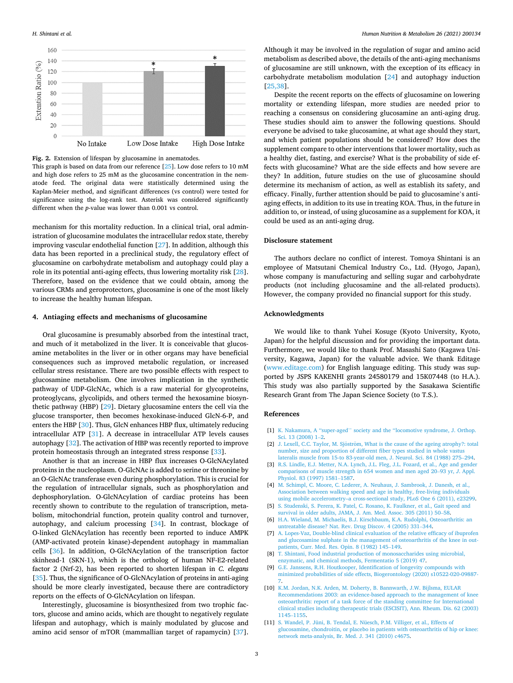<span id="page-2-0"></span>

**Fig. 2.** Extension of lifespan by glucosamine in anematodes.

This graph is based on data from our reference [\[25](#page-3-0)]. Low dose refers to 10 mM and high dose refers to 25 mM as the glucosamine concentration in the nematode feed. The original data were statistically determined using the Kaplan-Meier method, and significant differences (vs control) were tested for significance using the log-rank test. Asterisk was considered significantly different when the *p*-value was lower than 0.001 vs control.

mechanism for this mortality reduction. In a clinical trial, oral administration of glucosamine modulates the intracellular redox state, thereby improving vascular endothelial function [\[27](#page-3-0)]. In addition, although this data has been reported in a preclinical study, the regulatory effect of glucosamine on carbohydrate metabolism and autophagy could play a role in its potential anti-aging effects, thus lowering mortality risk [\[28](#page-3-0)]. Therefore, based on the evidence that we could obtain, among the various CRMs and geroprotectors, glucosamine is one of the most likely to increase the healthy human lifespan.

### **4. Antiaging effects and mechanisms of glucosamine**

Oral glucosamine is presumably absorbed from the intestinal tract, and much of it metabolized in the liver. It is conceivable that glucosamine metabolites in the liver or in other organs may have beneficial consequences such as improved metabolic regulation, or increased cellular stress resistance. There are two possible effects with respect to glucosamine metabolism. One involves implication in the synthetic pathway of UDP-GlcNAc, which is a raw material for glycoproteins, proteoglycans, glycolipids, and others termed the hexosamine biosynthetic pathway (HBP) [\[29](#page-3-0)]. Dietary glucosamine enters the cell via the glucose transporter, then becomes hexokinase-induced GlcN-6-P, and enters the HBP [\[30](#page-3-0)]. Thus, GlcN enhances HBP flux, ultimately reducing intracellular ATP [\[31](#page-3-0)]. A decrease in intracellular ATP levels causes autophagy [[32\]](#page-3-0). The activation of HBP was recently reported to improve protein homeostasis through an integrated stress response [\[33](#page-3-0)].

Another is that an increase in HBP flux increases O-GlcNAcylated proteins in the nucleoplasm. O-GlcNAc is added to serine or threonine by an O-GlcNAc transferase even during phosphorylation. This is crucial for the regulation of intracellular signals, such as phosphorylation and dephosphorylation. O-GlcNAcylation of cardiac proteins has been recently shown to contribute to the regulation of transcription, metabolism, mitochondrial function, protein quality control and turnover, autophagy, and calcium processing [\[34](#page-3-0)]. In contrast, blockage of O-linked GlcNAcylation has recently been reported to induce AMPK (AMP-activated protein kinase)-dependent autophagy in mammalian cells [[36\]](#page-3-0). In addition, O-GlcNAcylation of the transcription factor skinhead-1 (SKN-1), which is the ortholog of human NF-E2-related factor 2 (Nrf-2), has been reported to shorten lifespan in *C. elegans*  [[35\]](#page-3-0). Thus, the significance of O-GlcNAcylation of proteins in anti-aging should be more clearly investigated, because there are contradictory reports on the effects of O-GlcNAcylation on lifespan.

Interestingly, glucosamine is biosynthesized from two trophic factors, glucose and amino acids, which are thought to negatively regulate lifespan and autophagy, which is mainly modulated by glucose and amino acid sensor of mTOR (mammallian target of rapamycin) [\[37](#page-3-0)].

Although it may be involved in the regulation of sugar and amino acid metabolism as described above, the details of the anti-aging mechanisms of glucosamine are still unknown, with the exception of its efficacy in carbohydrate metabolism modulation [[24\]](#page-3-0) and autophagy induction [[25,38](#page-3-0)].

Despite the recent reports on the effects of glucosamine on lowering mortality or extending lifespan, more studies are needed prior to reaching a consensus on considering glucosamine an anti-aging drug. These studies should aim to answer the following questions. Should everyone be advised to take glucosamine, at what age should they start, and which patient populations should be considered? How does the supplement compare to other interventions that lower mortality, such as a healthy diet, fasting, and exercise? What is the probability of side effects with glucosamine? What are the side effects and how severe are they? In addition, future studies on the use of glucosamine should determine its mechanism of action, as well as establish its safety, and efficacy. Finally, further attention should be paid to glucosamine's antiaging effects, in addition to its use in treating KOA. Thus, in the future in addition to, or instead, of using glucosamine as a supplement for KOA, it could be used as an anti-aging drug.

#### **Disclosure statement**

The authors declare no conflict of interest. Tomoya Shintani is an employee of Matsutani Chemical Industry Co., Ltd. (Hyogo, Japan), whose company is manufacturing and selling sugar and carbohydrate products (not including glucosamine and the all-related products). However, the company provided no financial support for this study.

## **Acknowledgments**

We would like to thank Yuhei Kosuge (Kyoto University, Kyoto, Japan) for the helpful discussion and for providing the important data. Furthermore, we would like to thank Prof. Masashi Sato (Kagawa University, Kagawa, Japan) for the valuable advice. We thank Editage ([www.editage.com](http://www.editage.com)) for English language editing. This study was supported by JSPS KAKENHI grants 24580179 and 15K07448 (to H.A.). This study was also partially supported by the Sasakawa Scientific Research Grant from The Japan Science Society (to T.S.).

#### **References**

- [1] K. Nakamura, A "super-aged" society and the "locomotive syndrome, J. Orthop. [Sci. 13 \(2008\) 1](http://refhub.elsevier.com/S2666-1497(21)00016-5/sref1)–2.
- [2] J. Lexell, C.C. Taylor, M. Sjöström, What is the cause of the ageing atrophy?: total [number, size and proportion of different fiber types studied in whole vastus](http://refhub.elsevier.com/S2666-1497(21)00016-5/sref2)  [lateralis muscle from 15-to 83-year-old men, J. Neurol. Sci. 84 \(1988\) 275](http://refhub.elsevier.com/S2666-1497(21)00016-5/sref2)–294.
- [3] [R.S. Lindle, E.J. Metter, N.A. Lynch, J.L. Fleg, J.L. Fozard, et al., Age and gender](http://refhub.elsevier.com/S2666-1497(21)00016-5/sref3) [comparisons of muscle strength in 654 women and men aged 20](http://refhub.elsevier.com/S2666-1497(21)00016-5/sref3)–93 yr, *J*. Appl. [Physiol. 83 \(1997\) 1581](http://refhub.elsevier.com/S2666-1497(21)00016-5/sref3)–1587.
- [4] [M. Schimpl, C. Moore, C. Lederer, A. Neuhaus, J. Sambrook, J. Danesh, et al.,](http://refhub.elsevier.com/S2666-1497(21)00016-5/sref4)  [Association between walking speed and age in healthy, free-living individuals](http://refhub.elsevier.com/S2666-1497(21)00016-5/sref4) [using mobile accelerometry–a cross-sectional study, PLoS One 6 \(2011\), e23299.](http://refhub.elsevier.com/S2666-1497(21)00016-5/sref4)
- [5] [S. Studenski, S. Perera, K. Patel, C. Rosano, K. Faulkner, et al., Gait speed and](http://refhub.elsevier.com/S2666-1497(21)00016-5/sref5) [survival in older adults, JAMA, J. Am. Med. Assoc. 305 \(2011\) 50](http://refhub.elsevier.com/S2666-1497(21)00016-5/sref5)–58.
- [6] [H.A. Wieland, M. Michaelis, B.J. Kirschbaum, K.A. Rudolphi, Osteoarthritis: an](http://refhub.elsevier.com/S2666-1497(21)00016-5/sref6)  [untreatable disease? Nat. Rev. Drug Discov. 4 \(2005\) 331](http://refhub.elsevier.com/S2666-1497(21)00016-5/sref6)–344.
- [7] [A. Lopes-Vaz, Double-blind clinical evaluation of the relative efficacy of ibuprofen](http://refhub.elsevier.com/S2666-1497(21)00016-5/sref7)  [and glucosamine sulphate in the management of osteoarthritis of the knee in out](http://refhub.elsevier.com/S2666-1497(21)00016-5/sref7)[patients, Curr. Med. Res. Opin. 8 \(1982\) 145](http://refhub.elsevier.com/S2666-1497(21)00016-5/sref7)–149.
- [8] [T. Shintani, Food industrial production of monosaccharides using microbial,](http://refhub.elsevier.com/S2666-1497(21)00016-5/sref8) [enzymatic, and chemical methods, Fermentatio 5 \(2019\) 47.](http://refhub.elsevier.com/S2666-1497(21)00016-5/sref8)
- [9] [G.E. Janssens, R.H. Houtkooper, Identification of longevity compounds with](http://refhub.elsevier.com/S2666-1497(21)00016-5/sref9) [minimized probabilities of side effects, Biogerontology \(2020\) s10522-020-09887-](http://refhub.elsevier.com/S2666-1497(21)00016-5/sref9)  [7.](http://refhub.elsevier.com/S2666-1497(21)00016-5/sref9)
- [10] [K.M. Jordan, N.K. Arden, M. Doherty, B. Bannwarth, J.W. Bijlsma, EULAR](http://refhub.elsevier.com/S2666-1497(21)00016-5/sref10) [Recommendations 2003: an evidence-based approach to the management of knee](http://refhub.elsevier.com/S2666-1497(21)00016-5/sref10)  [osteoarthritis: report of a task force of the standing committee for International](http://refhub.elsevier.com/S2666-1497(21)00016-5/sref10) [clinical studies including therapeutic trials \(ESCISIT\), Ann. Rheum. Dis. 62 \(2003\)](http://refhub.elsevier.com/S2666-1497(21)00016-5/sref10)  [1145](http://refhub.elsevier.com/S2666-1497(21)00016-5/sref10)–1155.
- [11] [S. Wandel, P. Jüni, B. Tendal, E. Nüesch, P.M. Villiger, et al., Effects of](http://refhub.elsevier.com/S2666-1497(21)00016-5/sref11)  [glucosamine, chondroitin, or placebo in patients with osteoarthritis of hip or knee:](http://refhub.elsevier.com/S2666-1497(21)00016-5/sref11)  [network meta-analysis, Br. Med. J. 341 \(2010\) c4675.](http://refhub.elsevier.com/S2666-1497(21)00016-5/sref11)